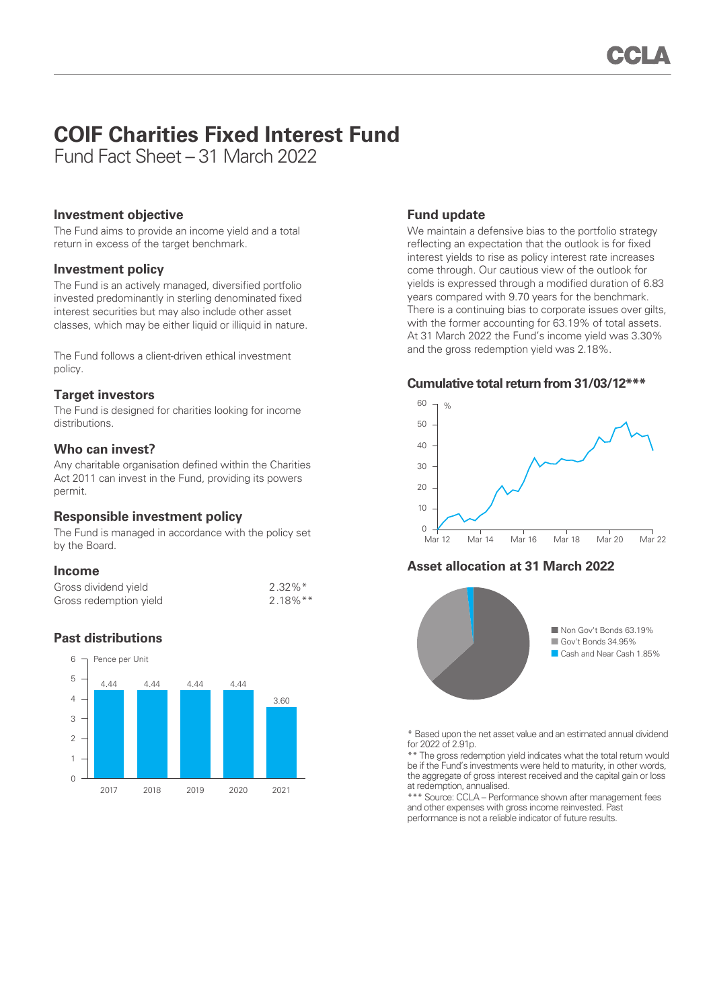# **COIF Charities Fixed Interest Fund**

Fund Fact Sheet – 31 March 2022

## **Investment objective**

The Fund aims to provide an income yield and a total return in excess of the target benchmark.

## **Investment policy**

The Fund is an actively managed, diversified portfolio invested predominantly in sterling denominated fixed interest securities but may also include other asset classes, which may be either liquid or illiquid in nature.

The Fund follows a client-driven ethical investment policy.

# **Target investors**

The Fund is designed for charities looking for income distributions.

# **Who can invest?**

Any charitable organisation defined within the Charities Act 2011 can invest in the Fund, providing its powers permit.

# **Responsible investment policy**

The Fund is managed in accordance with the policy set by the Board.

## **Income**

| Gross dividend yield   | $2.32\%$ <sup>*</sup>  |
|------------------------|------------------------|
| Gross redemption yield | $2.18\%$ <sup>**</sup> |

# **Past distributions**



## **Fund update**

We maintain a defensive bias to the portfolio strategy reflecting an expectation that the outlook is for fixed interest yields to rise as policy interest rate increases come through. Our cautious view of the outlook for yields is expressed through a modified duration of 6.83 years compared with 9.70 years for the benchmark. There is a continuing bias to corporate issues over gilts, with the former accounting for 63.19% of total assets. At 31 March 2022 the Fund's income yield was 3.30% and the gross redemption yield was 2.18%.

#### **Cumulative total return from 31/03/12\*\*\***



# **Asset allocation at 31 March 2022**



\* Based upon the net asset value and an estimated annual dividend for 2022 of 2.91p.

\*\* The gross redemption yield indicates what the total return would be if the Fund's investments were held to maturity, in other words, the aggregate of gross interest received and the capital gain or loss at redemption, annualised.

\*\*\* Source: CCLA – Performance shown after management fees and other expenses with gross income reinvested. Past performance is not a reliable indicator of future results.